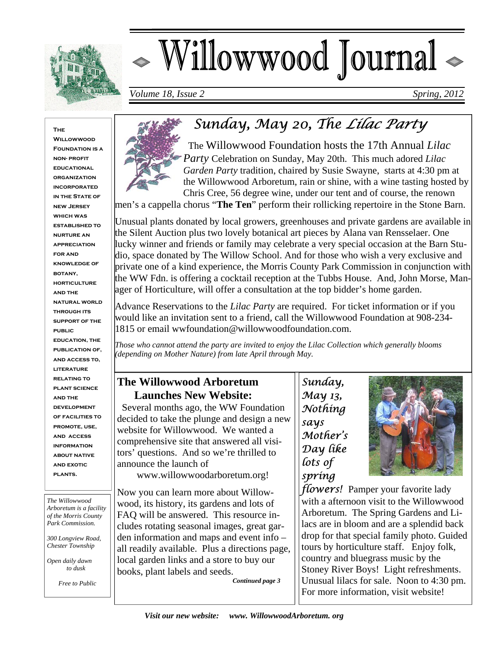

# - Willowwood Journal

*Volume 18, Issue 2* Spring, 2012

#### **The**

**Willowwood FOUNDATION IS A non- profit educational organization incorporated IN THE STATE OF new Jersey which was established to nurture an appreciation for and knowledge of botany, horticulture and the natural world through its support of the public education, the publication of, and access to, literature relating to plant science and the development of facilities to promote, use, and access information about native and exotic plants.** 

*The Willowwood Arboretum is a facility of the Morris County Park Commission.* 

*300 Longview Road, Chester Township* 

*Open daily dawn to dusk* 

 *Free to Public*



 The Willowwood Foundation hosts the 17th Annual *Lilac Party* Celebration on Sunday, May 20th. This much adored *Lilac Garden Party* tradition, chaired by Susie Swayne, starts at 4:30 pm at the Willowwood Arboretum, rain or shine, with a wine tasting hosted by Chris Cree, 56 degree wine, under our tent and of course, the renown

men's a cappella chorus "**The Ten**" perform their rollicking repertoire in the Stone Barn.

Unusual plants donated by local growers, greenhouses and private gardens are available in the Silent Auction plus two lovely botanical art pieces by Alana van Rensselaer. One lucky winner and friends or family may celebrate a very special occasion at the Barn Studio, space donated by The Willow School. And for those who wish a very exclusive and private one of a kind experience, the Morris County Park Commission in conjunction with the WW Fdn. is offering a cocktail reception at the Tubbs House. And, John Morse, Manager of Horticulture, will offer a consultation at the top bidder's home garden.

Advance Reservations to the *Lilac Party* are required. For ticket information or if you would like an invitation sent to a friend, call the Willowwood Foundation at 908-234- 1815 or email wwfoundation@willowwoodfoundation.com.

*Those who cannot attend the party are invited to enjoy the Lilac Collection which generally blooms (depending on Mother Nature) from late April through May.* 

### **The Willowwood Arboretum Launches New Website:**

 Several months ago, the WW Foundation decided to take the plunge and design a new website for Willowwood. We wanted a comprehensive site that answered all visitors' questions. And so we're thrilled to announce the launch of

www.willowwoodarboretum.org!

Now you can learn more about Willowwood, its history, its gardens and lots of FAQ will be answered. This resource includes rotating seasonal images, great garden information and maps and event info – all readily available. Plus a directions page, local garden links and a store to buy our books, plant labels and seeds.

*Continued page 3* 

*Sunday, May 13, Nothing says Mother's Day like lots of spring* 



*flowers!* Pamper your favorite lady with a afternoon visit to the Willowwood Arboretum. The Spring Gardens and Lilacs are in bloom and are a splendid back drop for that special family photo. Guided tours by horticulture staff. Enjoy folk, country and bluegrass music by the Stoney River Boys! Light refreshments. Unusual lilacs for sale. Noon to 4:30 pm. For more information, visit website!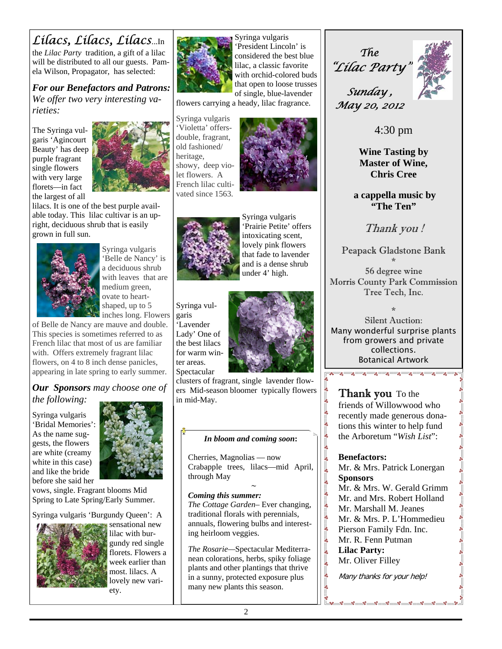# *Lilacs, Lilacs, Lilacs*...In

the *Lilac Party* tradition, a gift of a lilac will be distributed to all our guests. Pamela Wilson, Propagator, has selected:

*For our Benefactors and Patrons: We offer two very interesting varieties:* 

The Syringa vulgaris 'Agincourt Beauty' has deep purple fragrant single flowers with very large florets—in fact the largest of all



lilacs. It is one of the best purple available today. This lilac cultivar is an upright, deciduous shrub that is easily grown in full sun.



Syringa vulgaris 'Belle de Nancy' is a deciduous shrub with leaves that are medium green, ovate to heartshaped, up to 5 inches long. Flowers

of Belle de Nancy are mauve and double. This species is sometimes referred to as French lilac that most of us are familiar with. Offers extremely fragrant lilac flowers, on 4 to 8 inch dense panicles, appearing in late spring to early summer.

#### *Our Sponsors may choose one of the following:*

Syringa vulgaris 'Bridal Memories': As the name suggests, the flowers are white (creamy white in this case) and like the bride before she said her



vows, single. Fragrant blooms Mid Spring to Late Spring/Early Summer.

Syringa vulgaris 'Burgundy Queen': A



sensational new lilac with burgundy red single florets. Flowers a week earlier than most. lilacs. A lovely new variety.



Syringa vulgaris 'President Lincoln' is considered the best blue lilac, a classic favorite with orchid-colored buds that open to loose trusses of single, blue-lavender

flowers carrying a heady, lilac fragrance.

Syringa vulgaris 'Violetta' offersdouble, fragrant, old fashioned/ heritage, showy, deep violet flowers. A French lilac cultivated since 1563.





Syringa vulgaris 'Prairie Petite' offers intoxicating scent, lovely pink flowers that fade to lavender and is a dense shrub under 4' high.





clusters of fragrant, single lavender flowers Mid-season bloomer typically flowers in mid-May.

#### *In bloom and coming soon***:**

Cherries, Magnolias — now Crabapple trees, lilacs—mid April, through May

#### $\sim$ *Coming this summer:*

*The Cottage Garden*– Ever changing, traditional florals with perennials, annuals, flowering bulbs and interesting heirloom veggies.

*The Rosarie—*Spectacular Mediterranean colorations, herbs, spiky foliage plants and other plantings that thrive in a sunny, protected exposure plus many new plants this season.

*The "Lilac Party"* 



*Sunday , May 20, 2012* 

4:30 pm

**Wine Tasting by Master of Wine, Chris Cree** 

 **a cappella music by "The Ten"** 

Thank you !

Peapack Gladstone Bank

\* 56 degree wine Morris County Park Commission Tree Tech, Inc.

\* Silent Auction: Many wonderful surprise plants from growers and private collections. Botanical Artwork<br><del>कृष्ण्यान्यान्यान्यान्यान्यान्यान्यान्या</del>

**Thank you** To the friends of Willowwood who recently made generous donations this winter to help fund the Arboretum "*Wish List*":

#### **Benefactors:**

l.<br>°°

 $\frac{8}{20}$ 

 $\frac{1}{20}$ 

 $\frac{1}{20}$ 

Mr. & Mrs. Patrick Lonergan **Sponsors** 

- Mr. & Mrs. W. Gerald Grimm
- Mr. and Mrs. Robert Holland
- Mr. Marshall M. Jeanes
- Mr. & Mrs. P. L'Hommedieu
- Pierson Family Fdn. Inc.
- Mr. R. Fenn Putman
- **Lilac Party:**   $\frac{1}{20}$ 
	- Mr. Oliver Filley

Many thanks for your help!

- ဖုိ - ဖုိ - ဖုိ - ဖုိ - ဖုိ - ဖုိ - ဖုိ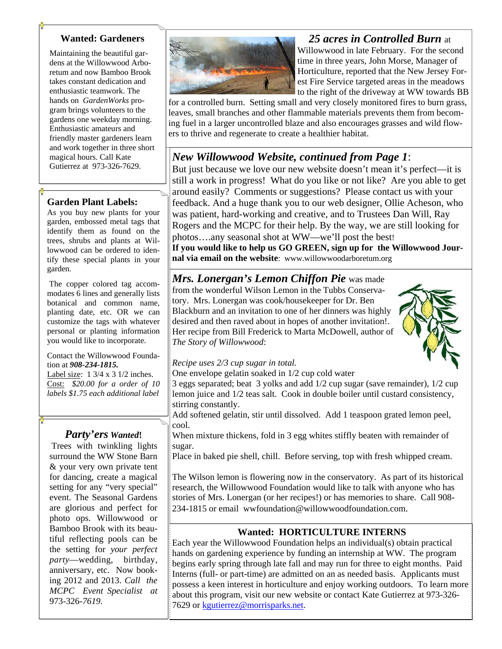#### **Wanted: Gardeners**

Maintaining the beautiful gardens at the Willowwood Arboretum and now Bamboo Brook takes constant dedication and enthusiastic teamwork. The hands on *GardenWorks* program brings volunteers to the gardens one weekday morning. Enthusiastic amateurs and friendly master gardeners learn and work together in three short magical hours. Call Kate Gutierrez at 973-326-7629.

#### **Garden Plant Labels:**

As you buy new plants for your garden, embossed metal tags that identify them as found on the trees, shrubs and plants at Willowwood can be ordered to identify these special plants in your garden.

 The copper colored tag accommodates 6 lines and generally lists botanical and common name, planting date, etc. OR we can customize the tags with whatever personal or planting information you would like to incorporate.

#### Contact the Willowwood Foundation at *908-234-1815.*

Label size: 1 3/4 x 3 1/2 inches. Cost: *\$20.00 for a order of 10 labels \$1.75 each additional label*

#### *Party'ers Wanted***!**

Trees with twinkling lights surround the WW Stone Barn & your very own private tent for dancing, create a magical setting for any "very special" event. The Seasonal Gardens are glorious and perfect for photo ops. Willowwood or Bamboo Brook with its beautiful reflecting pools can be the setting for *your perfect party*—wedding, birthday, anniversary, etc. Now booking 2012 and 2013. *Call the MCPC Event Specialist at*  973-326-*7619.* 



#### *25 acres in Controlled Burn* at

Willowwood in late February. For the second time in three years, John Morse, Manager of Horticulture, reported that the New Jersey Forest Fire Service targeted areas in the meadows to the right of the driveway at WW towards BB

for a controlled burn. Setting small and very closely monitored fires to burn grass, leaves, small branches and other flammable materials prevents them from becoming fuel in a larger uncontrolled blaze and also encourages grasses and wild flowers to thrive and regenerate to create a healthier habitat.

#### *New Willowwood Website, continued from Page 1*:

But just because we love our new website doesn't mean it's perfect—it is still a work in progress! What do you like or not like? Are you able to get around easily? Comments or suggestions? Please contact us with your feedback. And a huge thank you to our web designer, Ollie Acheson, who was patient, hard-working and creative, and to Trustees Dan Will, Ray Rogers and the MCPC for their help. By the way, we are still looking for photos….any seasonal shot at WW—we'll post the best! **If you would like to help us GO GREEN, sign up for the Willowwood Jour-**

**nal via email on the website**: www.willowwoodarboretum.org

#### *Mrs. Lonergan's Lemon Chiffon Pie* was made from the wonderful Wilson Lemon in the Tubbs Conservatory. Mrs. Lonergan was cook/housekeeper for Dr. Ben Blackburn and an invitation to one of her dinners was highly desired and then raved about in hopes of another invitation!. Her recipe from Bill Frederick to Marta McDowell, author of *The Story of Willowwood*:



*Recipe uses 2/3 cup sugar in total.* 

One envelope gelatin soaked in 1/2 cup cold water

3 eggs separated; beat 3 yolks and add 1/2 cup sugar (save remainder), 1/2 cup lemon juice and 1/2 teas salt. Cook in double boiler until custard consistency, stirring constantly.

Add softened gelatin, stir until dissolved. Add 1 teaspoon grated lemon peel, cool.

When mixture thickens, fold in 3 egg whites stiffly beaten with remainder of sugar.

Place in baked pie shell, chill. Before serving, top with fresh whipped cream.

The Wilson lemon is flowering now in the conservatory. As part of its historical research, the Willowwood Foundation would like to talk with anyone who has stories of Mrs. Lonergan (or her recipes!) or has memories to share. Call 908- 234-1815 or email wwfoundation@willowwoodfoundation.com.

#### **Wanted: HORTICULTURE INTERNS**

Each year the Willowwood Foundation helps an individual(s) obtain practical hands on gardening experience by funding an internship at WW. The program begins early spring through late fall and may run for three to eight months. Paid Interns (full- or part-time) are admitted on an as needed basis. Applicants must possess a keen interest in horticulture and enjoy working outdoors. To learn more about this program, visit our new website or contact Kate Gutierrez at 973-326- 7629 or kgutierrez@morrisparks.net.